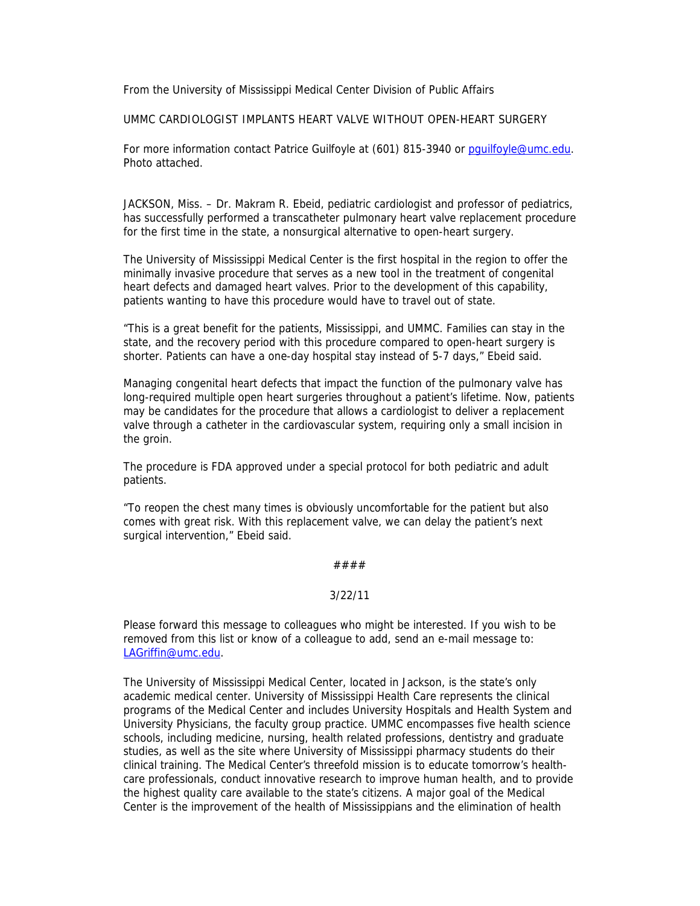From the University of Mississippi Medical Center Division of Public Affairs

UMMC CARDIOLOGIST IMPLANTS HEART VALVE WITHOUT OPEN-HEART SURGERY

For more information contact Patrice Guilfoyle at (601) 815-3940 or pguilfoyle@umc.edu. Photo attached.

JACKSON, Miss. – Dr. Makram R. Ebeid, pediatric cardiologist and professor of pediatrics, has successfully performed a transcatheter pulmonary heart valve replacement procedure for the first time in the state, a nonsurgical alternative to open-heart surgery.

The University of Mississippi Medical Center is the first hospital in the region to offer the minimally invasive procedure that serves as a new tool in the treatment of congenital heart defects and damaged heart valves. Prior to the development of this capability, patients wanting to have this procedure would have to travel out of state.

"This is a great benefit for the patients, Mississippi, and UMMC. Families can stay in the state, and the recovery period with this procedure compared to open-heart surgery is shorter. Patients can have a one-day hospital stay instead of 5-7 days," Ebeid said.

Managing congenital heart defects that impact the function of the pulmonary valve has long-required multiple open heart surgeries throughout a patient's lifetime. Now, patients may be candidates for the procedure that allows a cardiologist to deliver a replacement valve through a catheter in the cardiovascular system, requiring only a small incision in the groin.

The procedure is FDA approved under a special protocol for both pediatric and adult patients.

"To reopen the chest many times is obviously uncomfortable for the patient but also comes with great risk. With this replacement valve, we can delay the patient's next surgical intervention," Ebeid said.

## ####

## 3/22/11

Please forward this message to colleagues who might be interested. If you wish to be removed from this list or know of a colleague to add, send an e-mail message to: LAGriffin@umc.edu.

The University of Mississippi Medical Center, located in Jackson, is the state's only academic medical center. University of Mississippi Health Care represents the clinical programs of the Medical Center and includes University Hospitals and Health System and University Physicians, the faculty group practice. UMMC encompasses five health science schools, including medicine, nursing, health related professions, dentistry and graduate studies, as well as the site where University of Mississippi pharmacy students do their clinical training. The Medical Center's threefold mission is to educate tomorrow's healthcare professionals, conduct innovative research to improve human health, and to provide the highest quality care available to the state's citizens. A major goal of the Medical Center is the improvement of the health of Mississippians and the elimination of health